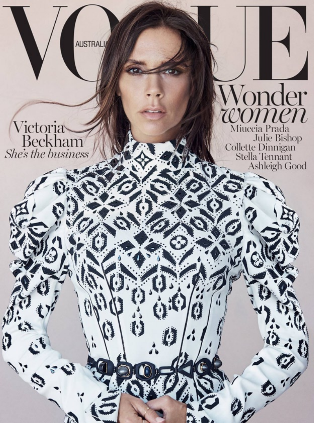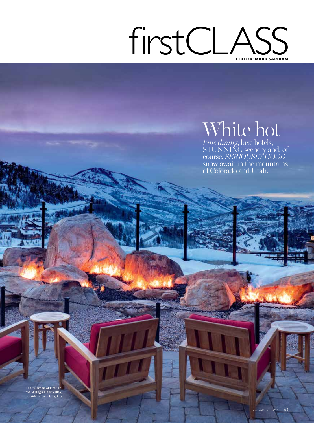## firstCLASS **EDITOR: MARK SARIBAN**

## White hot

*Fine dining*, luxe hotels, STUNNING scenery and, of course, *SERIOUSLY GOOD*  snow await in the mountains of Colorado and Utah.

The "Garden of Fire" at the St Regis Deer Valley, outside of Park City, Utah.

ALL PRICES APPROXIMATE DETAILS LAST PAGES